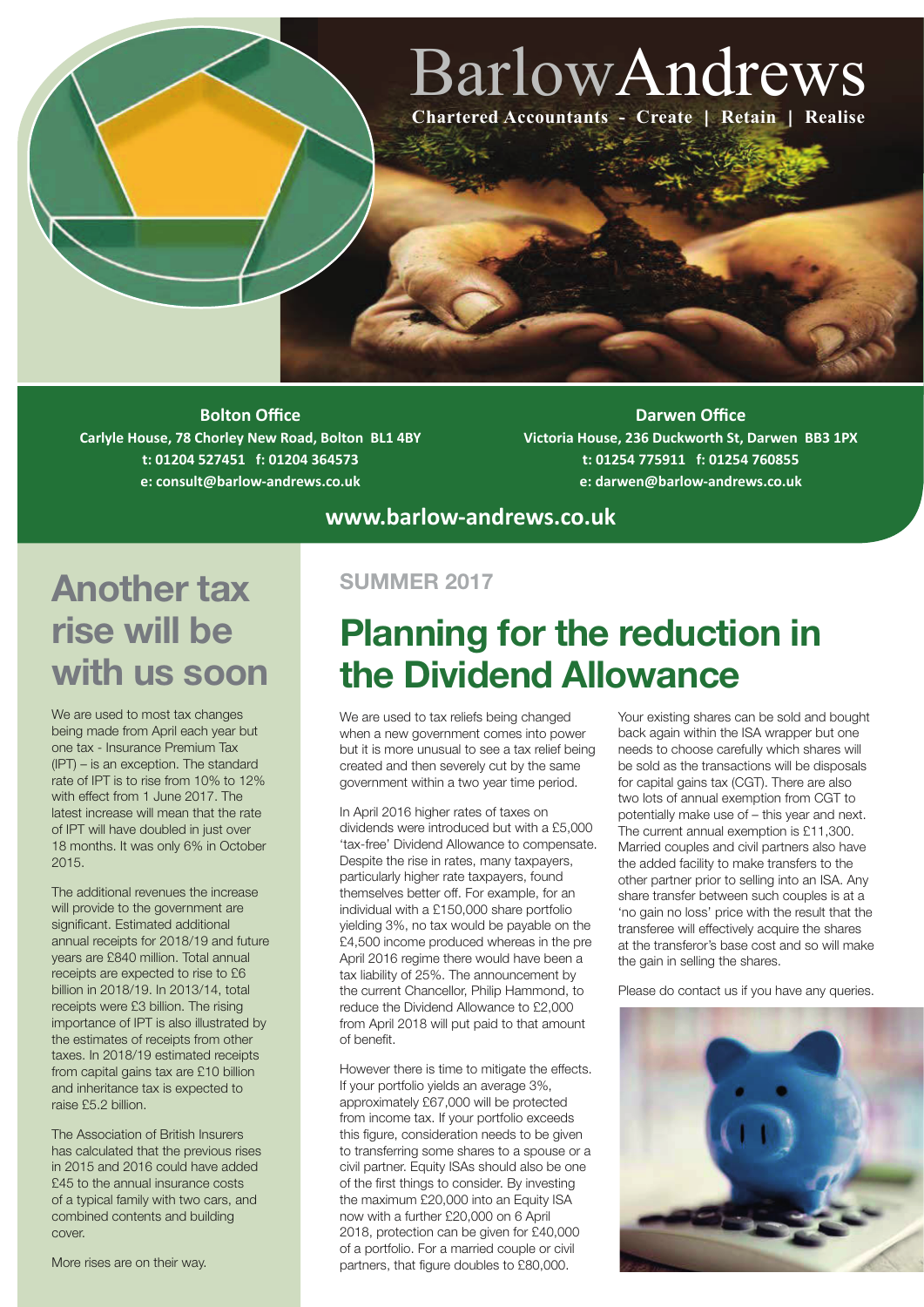# BarlowAndrews **Chartered Accountants - Create | Retain | Realise**

**Bolton Office Carlyle House, 78 Chorley New Road, Bolton BL1 4BY t: 01204 527451 f: 01204 364573 e: consult@barlow-andrews.co.uk**

**Darwen Office Victoria House, 236 Duckworth St, Darwen BB3 1PX t: 01254 775911 f: 01254 760855 e: darwen@barlow-andrews.co.uk**

### **Another tax SUMMER 2017 rise will be with us soon**

We are used to most tax changes being made from April each year but one tax - Insurance Premium Tax (IPT) – is an exception. The standard rate of IPT is to rise from 10% to 12% with effect from 1 June 2017. The latest increase will mean that the rate of IPT will have doubled in just over 18 months. It was only 6% in October 2015.

The additional revenues the increase will provide to the government are significant. Estimated additional annual receipts for 2018/19 and future years are £840 million. Total annual receipts are expected to rise to £6 billion in 2018/19. In 2013/14, total receipts were £3 billion. The rising importance of IPT is also illustrated by the estimates of receipts from other taxes. In 2018/19 estimated receipts from capital gains tax are £10 billion and inheritance tax is expected to raise £5.2 billion.

 The Association of British Insurers has calculated that the previous rises in 2015 and 2016 could have added £45 to the annual insurance costs of a typical family with two cars, and combined contents and building cover.

More rises are on their way.

# **Planning for the reduction in the Dividend Allowance**

We are used to tax reliefs being changed when a new government comes into power but it is more unusual to see a tax relief being created and then severely cut by the same government within a two year time period.

**www.barlow-andrews.co.uk**

In April 2016 higher rates of taxes on dividends were introduced but with a £5,000 'tax-free' Dividend Allowance to compensate. Despite the rise in rates, many taxpayers, particularly higher rate taxpayers, found themselves better off. For example, for an individual with a £150,000 share portfolio yielding 3%, no tax would be payable on the £4,500 income produced whereas in the pre April 2016 regime there would have been a tax liability of 25%. The announcement by the current Chancellor, Philip Hammond, to reduce the Dividend Allowance to £2,000 from April 2018 will put paid to that amount of benefit.

However there is time to mitigate the effects. If your portfolio yields an average 3%, approximately £67,000 will be protected from income tax. If your portfolio exceeds this figure, consideration needs to be given to transferring some shares to a spouse or a civil partner. Equity ISAs should also be one of the first things to consider. By investing the maximum £20,000 into an Equity ISA now with a further £20,000 on 6 April 2018, protection can be given for £40,000 of a portfolio. For a married couple or civil partners, that figure doubles to £80,000.

Your existing shares can be sold and bought back again within the ISA wrapper but one needs to choose carefully which shares will be sold as the transactions will be disposals for capital gains tax (CGT). There are also two lots of annual exemption from CGT to potentially make use of – this year and next. The current annual exemption is £11,300. Married couples and civil partners also have the added facility to make transfers to the other partner prior to selling into an ISA. Any share transfer between such couples is at a 'no gain no loss' price with the result that the transferee will effectively acquire the shares at the transferor's base cost and so will make the gain in selling the shares.

Please do contact us if you have any queries.

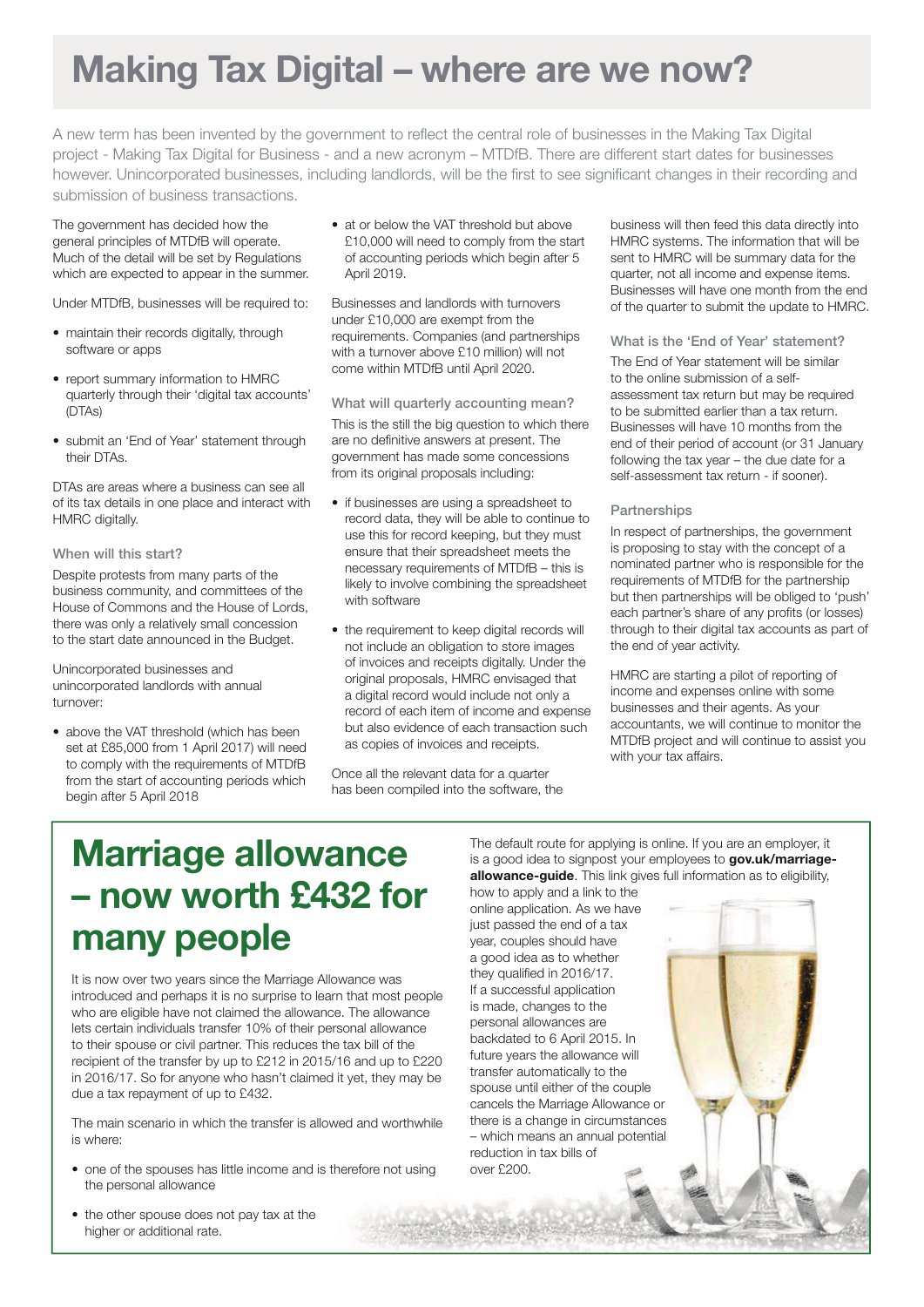# **Making Tax Digital – where are we now?**

A new term has been invented by the government to reflect the central role of businesses in the Making Tax Digital project - Making Tax Digital for Business - and a new acronym – MTDfB. There are different start dates for businesses however. Unincorporated businesses, including landlords, will be the first to see significant changes in their recording and submission of business transactions.

The government has decided how the general principles of MTDfB will operate. Much of the detail will be set by Regulations which are expected to appear in the summer.

Under MTDfB, businesses will be required to:

- maintain their records digitally, through software or apps
- report summary information to HMRC quarterly through their 'digital tax accounts' (DTAs)
- submit an 'End of Year' statement through their DTAs.

DTAs are areas where a business can see all of its tax details in one place and interact with HMRC digitally.

### When will this start?

 Despite protests from many parts of the business community, and committees of the House of Commons and the House of Lords, there was only a relatively small concession to the start date announced in the Budget.

Unincorporated businesses and unincorporated landlords with annual turnover:

• above the VAT threshold (which has been set at £85,000 from 1 April 2017) will need to comply with the requirements of MTDfB from the start of accounting periods which begin after 5 April 2018

• at or below the VAT threshold but above £10,000 will need to comply from the start of accounting periods which begin after 5 April 2019.

Businesses and landlords with turnovers under £10,000 are exempt from the requirements. Companies (and partnerships with a turnover above £10 million) will not come within MTDfB until April 2020.

What will quarterly accounting mean?

This is the still the big question to which there are no definitive answers at present. The government has made some concessions from its original proposals including:

- if businesses are using a spreadsheet to record data, they will be able to continue to use this for record keeping, but they must ensure that their spreadsheet meets the necessary requirements of MTDfB – this is likely to involve combining the spreadsheet with software
- the requirement to keep digital records will not include an obligation to store images of invoices and receipts digitally. Under the original proposals, HMRC envisaged that a digital record would include not only a record of each item of income and expense but also evidence of each transaction such as copies of invoices and receipts.

Once all the relevant data for a quarter has been compiled into the software, the business will then feed this data directly into HMRC systems. The information that will be sent to HMRC will be summary data for the quarter, not all income and expense items. Businesses will have one month from the end of the quarter to submit the update to HMRC.

#### What is the 'End of Year' statement?

The End of Year statement will be similar to the online submission of a selfassessment tax return but may be required to be submitted earlier than a tax return. Businesses will have 10 months from the end of their period of account (or 31 January following the tax year – the due date for a self-assessment tax return - if sooner).

#### **Partnerships**

In respect of partnerships, the government is proposing to stay with the concept of a nominated partner who is responsible for the requirements of MTDfB for the partnership but then partnerships will be obliged to 'push' each partner's share of any profits (or losses) through to their digital tax accounts as part of the end of year activity.

 HMRC are starting a pilot of reporting of income and expenses online with some businesses and their agents. As your accountants, we will continue to monitor the MTDfB project and will continue to assist you with your tax affairs.

# **Marriage allowance – now worth £432 for many people**

It is now over two years since the Marriage Allowance was introduced and perhaps it is no surprise to learn that most people who are eligible have not claimed the allowance. The allowance lets certain individuals transfer 10% of their personal allowance to their spouse or civil partner. This reduces the tax bill of the recipient of the transfer by up to £212 in 2015/16 and up to £220 in 2016/17. So for anyone who hasn't claimed it yet, they may be due a tax repayment of up to £432.

The main scenario in which the transfer is allowed and worthwhile is where:

- one of the spouses has little income and is therefore not using the personal allowance
- the other spouse does not pay tax at the higher or additional rate.

The default route for applying is online. If you are an employer, it is a good idea to signpost your employees to **gov.uk/marriageallowance-guide**. This link gives full information as to eligibility, how to apply and a link to the

online application. As we have just passed the end of a tax year, couples should have a good idea as to whether they qualified in 2016/17. If a successful application is made, changes to the personal allowances are backdated to 6 April 2015. In future years the allowance will transfer automatically to the spouse until either of the couple cancels the Marriage Allowance or there is a change in circumstances – which means an annual potential reduction in tax bills of over £200.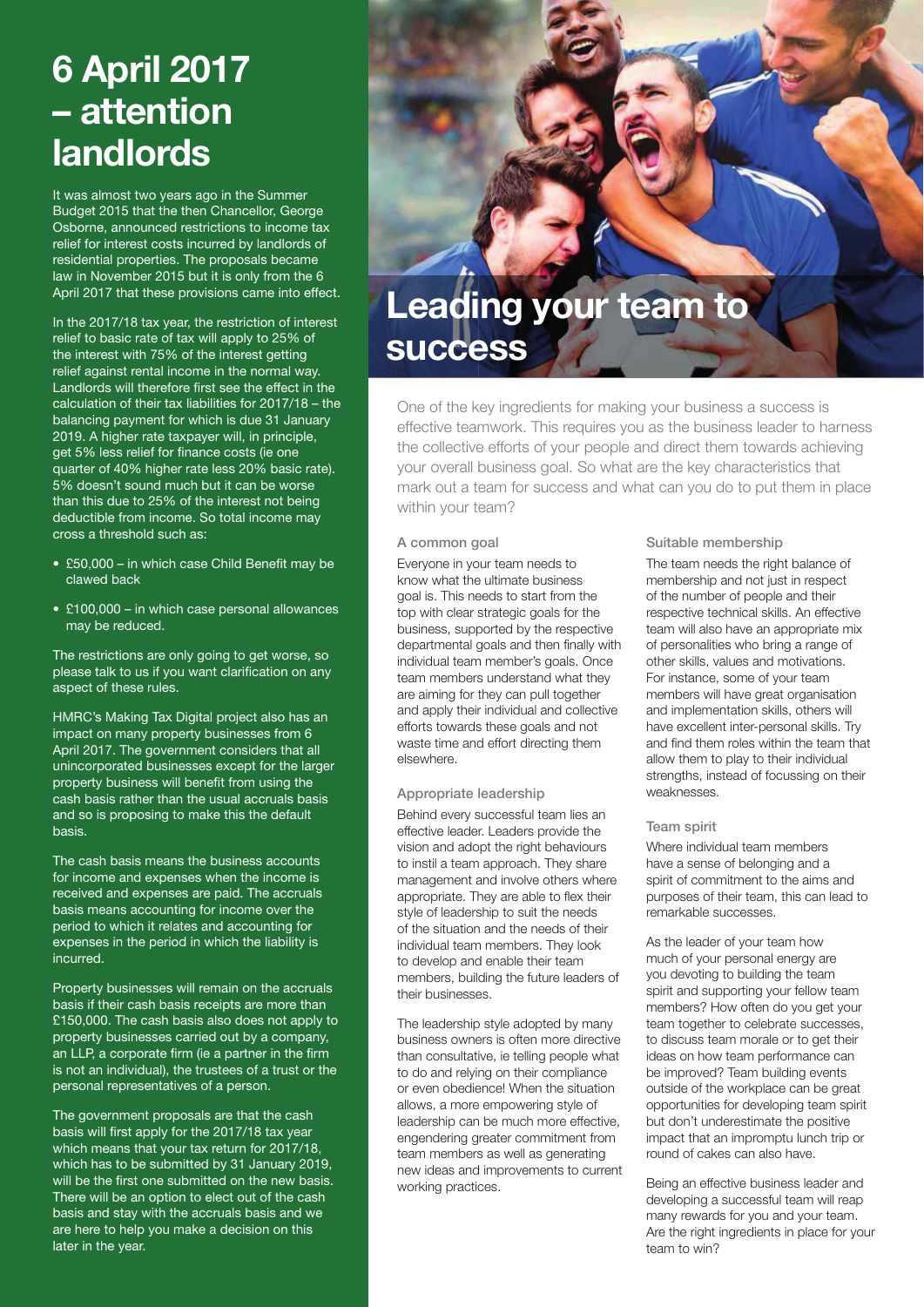# **6 April 2017 – attention landlords**

It was almost two years ago in the Summer Budget 2015 that the then Chancellor, George Osborne, announced restrictions to income tax relief for interest costs incurred by landlords of residential properties. The proposals became law in November 2015 but it is only from the 6 April 2017 that these provisions came into effect.

In the 2017/18 tax year, the restriction of interest relief to basic rate of tax will apply to 25% of the interest with 75% of the interest getting relief against rental income in the normal way. Landlords will therefore first see the effect in the calculation of their tax liabilities for 2017/18 – the balancing payment for which is due 31 January 2019. A higher rate taxpayer will, in principle, get 5% less relief for finance costs (ie one quarter of 40% higher rate less 20% basic rate). 5% doesn't sound much but it can be worse than this due to 25% of the interest not being deductible from income. So total income may cross a threshold such as:

- £50,000 in which case Child Benefit may be clawed back
- £100,000 in which case personal allowances may be reduced.

The restrictions are only going to get worse, so please talk to us if you want clarification on any aspect of these rules.

HMRC's Making Tax Digital project also has an impact on many property businesses from 6 April 2017. The government considers that all unincorporated businesses except for the larger property business will benefit from using the cash basis rather than the usual accruals basis and so is proposing to make this the default basis.

The cash basis means the business accounts for income and expenses when the income is received and expenses are paid. The accruals basis means accounting for income over the period to which it relates and accounting for expenses in the period in which the liability is incurred.

Property businesses will remain on the accruals basis if their cash basis receipts are more than £150,000. The cash basis also does not apply to property businesses carried out by a company, an LLP, a corporate firm (ie a partner in the firm is not an individual), the trustees of a trust or the personal representatives of a person.

The government proposals are that the cash basis will first apply for the 2017/18 tax year which means that your tax return for 2017/18, which has to be submitted by 31 January 2019, will be the first one submitted on the new basis. There will be an option to elect out of the cash basis and stay with the accruals basis and we are here to help you make a decision on this later in the year.



One of the key ingredients for making your business a success is effective teamwork. This requires you as the business leader to harness the collective efforts of your people and direct them towards achieving your overall business goal. So what are the key characteristics that mark out a team for success and what can you do to put them in place within your team?

#### A common goal

Everyone in your team needs to know what the ultimate business goal is. This needs to start from the top with clear strategic goals for the business, supported by the respective departmental goals and then finally with individual team member's goals. Once team members understand what they are aiming for they can pull together and apply their individual and collective efforts towards these goals and not waste time and effort directing them elsewhere.

### Appropriate leadership

Behind every successful team lies an effective leader. Leaders provide the vision and adopt the right behaviours to instil a team approach. They share management and involve others where appropriate. They are able to flex their style of leadership to suit the needs of the situation and the needs of their individual team members. They look to develop and enable their team members, building the future leaders of their businesses.

The leadership style adopted by many business owners is often more directive than consultative, ie telling people what to do and relying on their compliance or even obedience! When the situation allows, a more empowering style of leadership can be much more effective, engendering greater commitment from team members as well as generating new ideas and improvements to current working practices.

#### Suitable membership

The team needs the right balance of membership and not just in respect of the number of people and their respective technical skills. An effective team will also have an appropriate mix of personalities who bring a range of other skills, values and motivations. For instance, some of your team members will have great organisation and implementation skills, others will have excellent inter-personal skills. Try and find them roles within the team that allow them to play to their individual strengths, instead of focussing on their weaknesses.

#### Team spirit

Where individual team members have a sense of belonging and a spirit of commitment to the aims and purposes of their team, this can lead to remarkable successes.

As the leader of your team how much of your personal energy are you devoting to building the team spirit and supporting your fellow team members? How often do you get your team together to celebrate successes, to discuss team morale or to get their ideas on how team performance can be improved? Team building events outside of the workplace can be great opportunities for developing team spirit but don't underestimate the positive impact that an impromptu lunch trip or round of cakes can also have.

Being an effective business leader and developing a successful team will reap many rewards for you and your team. Are the right ingredients in place for your team to win?